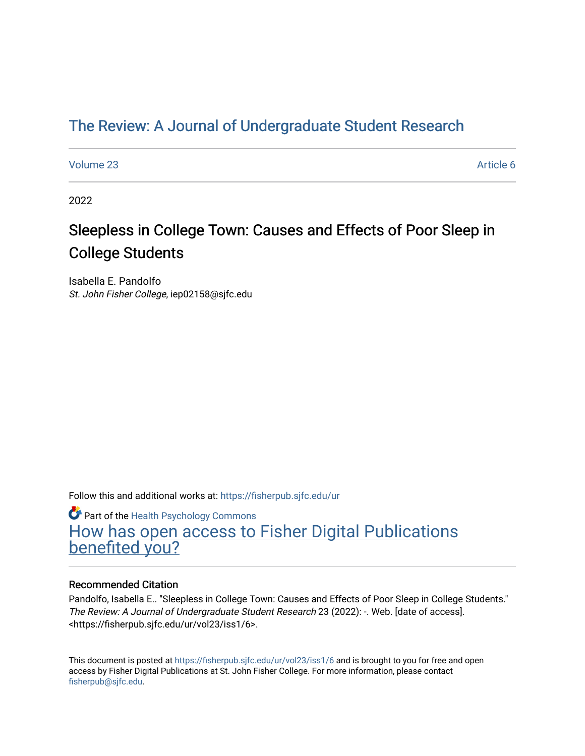# [The Review: A Journal of Undergraduate Student Research](https://fisherpub.sjfc.edu/ur)

[Volume 23](https://fisherpub.sjfc.edu/ur/vol23) Article 6

2022

# Sleepless in College Town: Causes and Effects of Poor Sleep in College Students

Isabella E. Pandolfo St. John Fisher College, iep02158@sjfc.edu

Follow this and additional works at: [https://fisherpub.sjfc.edu/ur](https://fisherpub.sjfc.edu/ur?utm_source=fisherpub.sjfc.edu%2Fur%2Fvol23%2Fiss1%2F6&utm_medium=PDF&utm_campaign=PDFCoverPages) 

**Part of the [Health Psychology Commons](http://network.bepress.com/hgg/discipline/411?utm_source=fisherpub.sjfc.edu%2Fur%2Fvol23%2Fiss1%2F6&utm_medium=PDF&utm_campaign=PDFCoverPages)** 

[How has open access to Fisher Digital Publications](https://docs.google.com/forms/d/14zrnDfH9d1wcdq8oG_-gFabAsxfcH5claltx85ZWyTg/viewform?entry.1394608989=https://fisherpub.sjfc.edu/ur/vol23/iss1/6%3Chttps://docs.google.com/forms/d/14zrnDfH9d1wcdq8oG_-gFabAsxfcH5claltx85ZWyTg/viewform?entry.1394608989=%7bhttps://fisherpub.sjfc.edu/ur/vol23/iss1/6%7d) [benefited you?](https://docs.google.com/forms/d/14zrnDfH9d1wcdq8oG_-gFabAsxfcH5claltx85ZWyTg/viewform?entry.1394608989=https://fisherpub.sjfc.edu/ur/vol23/iss1/6%3Chttps://docs.google.com/forms/d/14zrnDfH9d1wcdq8oG_-gFabAsxfcH5claltx85ZWyTg/viewform?entry.1394608989=%7bhttps://fisherpub.sjfc.edu/ur/vol23/iss1/6%7d)

#### Recommended Citation

Pandolfo, Isabella E.. "Sleepless in College Town: Causes and Effects of Poor Sleep in College Students." The Review: A Journal of Undergraduate Student Research 23 (2022): -. Web. [date of access]. <https://fisherpub.sjfc.edu/ur/vol23/iss1/6>.

This document is posted at <https://fisherpub.sjfc.edu/ur/vol23/iss1/6> and is brought to you for free and open access by Fisher Digital Publications at St. John Fisher College. For more information, please contact [fisherpub@sjfc.edu](mailto:fisherpub@sjfc.edu).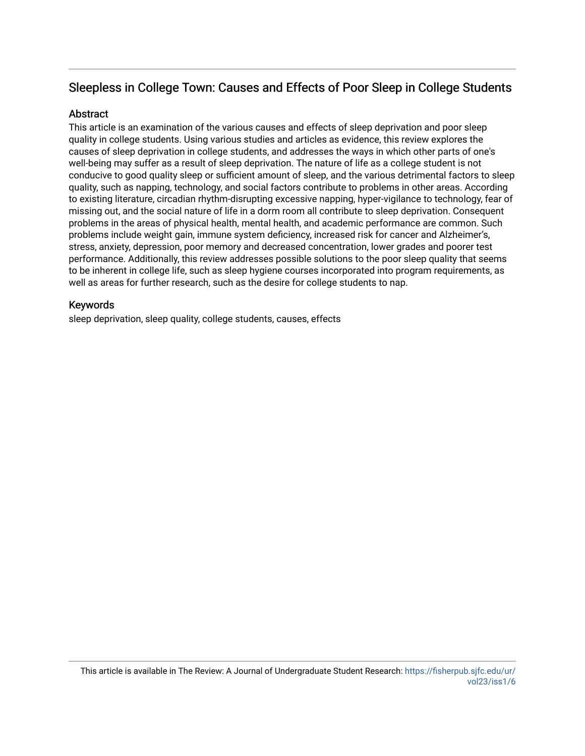# Sleepless in College Town: Causes and Effects of Poor Sleep in College Students

#### **Abstract**

This article is an examination of the various causes and effects of sleep deprivation and poor sleep quality in college students. Using various studies and articles as evidence, this review explores the causes of sleep deprivation in college students, and addresses the ways in which other parts of one's well-being may suffer as a result of sleep deprivation. The nature of life as a college student is not conducive to good quality sleep or sufficient amount of sleep, and the various detrimental factors to sleep quality, such as napping, technology, and social factors contribute to problems in other areas. According to existing literature, circadian rhythm-disrupting excessive napping, hyper-vigilance to technology, fear of missing out, and the social nature of life in a dorm room all contribute to sleep deprivation. Consequent problems in the areas of physical health, mental health, and academic performance are common. Such problems include weight gain, immune system deficiency, increased risk for cancer and Alzheimer's, stress, anxiety, depression, poor memory and decreased concentration, lower grades and poorer test performance. Additionally, this review addresses possible solutions to the poor sleep quality that seems to be inherent in college life, such as sleep hygiene courses incorporated into program requirements, as well as areas for further research, such as the desire for college students to nap.

#### Keywords

sleep deprivation, sleep quality, college students, causes, effects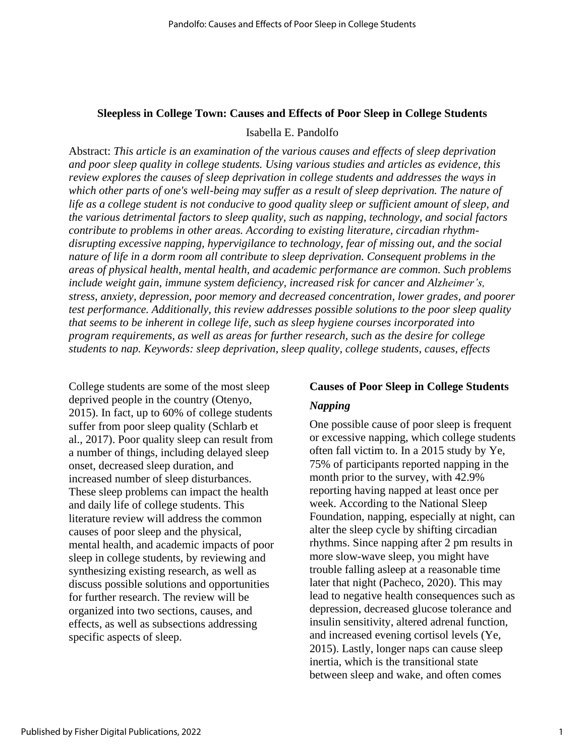#### **Sleepless in College Town: Causes and Effects of Poor Sleep in College Students**

Isabella E. Pandolfo

Abstract: *This article is an examination of the various causes and effects of sleep deprivation and poor sleep quality in college students. Using various studies and articles as evidence, this review explores the causes of sleep deprivation in college students and addresses the ways in which other parts of one's well-being may suffer as a result of sleep deprivation. The nature of life as a college student is not conducive to good quality sleep or sufficient amount of sleep, and the various detrimental factors to sleep quality, such as napping, technology, and social factors contribute to problems in other areas. According to existing literature, circadian rhythmdisrupting excessive napping, hypervigilance to technology, fear of missing out, and the social nature of life in a dorm room all contribute to sleep deprivation. Consequent problems in the areas of physical health, mental health, and academic performance are common. Such problems include weight gain, immune system deficiency, increased risk for cancer and Alzheimer's, stress, anxiety, depression, poor memory and decreased concentration, lower grades, and poorer test performance. Additionally, this review addresses possible solutions to the poor sleep quality that seems to be inherent in college life, such as sleep hygiene courses incorporated into program requirements, as well as areas for further research, such as the desire for college students to nap. Keywords: sleep deprivation, sleep quality, college students, causes, effects*

College students are some of the most sleep deprived people in the country (Otenyo, 2015). In fact, up to 60% of college students suffer from poor sleep quality (Schlarb et al., 2017). Poor quality sleep can result from a number of things, including delayed sleep onset, decreased sleep duration, and increased number of sleep disturbances. These sleep problems can impact the health and daily life of college students. This literature review will address the common causes of poor sleep and the physical, mental health, and academic impacts of poor sleep in college students, by reviewing and synthesizing existing research, as well as discuss possible solutions and opportunities for further research. The review will be organized into two sections, causes, and effects, as well as subsections addressing specific aspects of sleep.

#### **Causes of Poor Sleep in College Students**

### *Napping*

One possible cause of poor sleep is frequent or excessive napping, which college students often fall victim to. In a 2015 study by Ye, 75% of participants reported napping in the month prior to the survey, with 42.9% reporting having napped at least once per week. According to the National Sleep Foundation, napping, especially at night, can alter the sleep cycle by shifting circadian rhythms. Since napping after 2 pm results in more slow-wave sleep, you might have trouble falling asleep at a reasonable time later that night (Pacheco, 2020). This may lead to negative health consequences such as depression, decreased glucose tolerance and insulin sensitivity, altered adrenal function, and increased evening cortisol levels (Ye, 2015). Lastly, longer naps can cause sleep inertia, which is the transitional state between sleep and wake, and often comes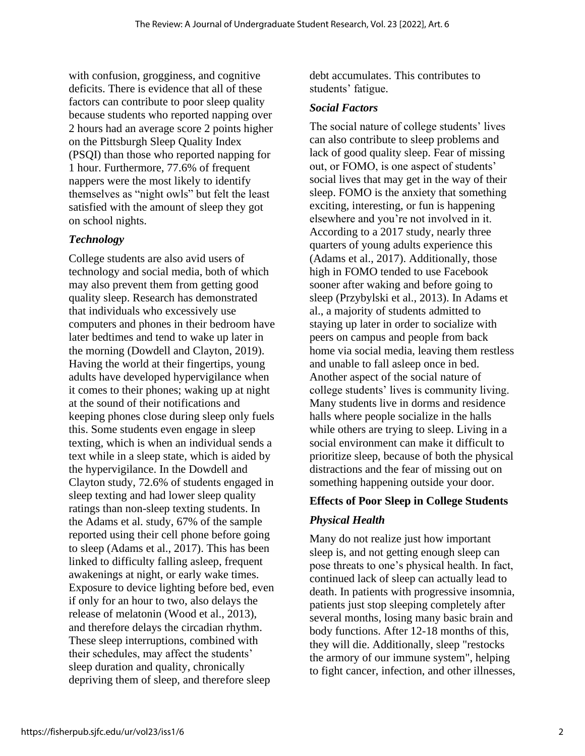with confusion, grogginess, and cognitive deficits. There is evidence that all of these factors can contribute to poor sleep quality because students who reported napping over 2 hours had an average score 2 points higher on the Pittsburgh Sleep Quality Index (PSQI) than those who reported napping for 1 hour. Furthermore, 77.6% of frequent nappers were the most likely to identify themselves as "night owls" but felt the least satisfied with the amount of sleep they got on school nights.

# *Technology*

College students are also avid users of technology and social media, both of which may also prevent them from getting good quality sleep. Research has demonstrated that individuals who excessively use computers and phones in their bedroom have later bedtimes and tend to wake up later in the morning (Dowdell and Clayton, 2019). Having the world at their fingertips, young adults have developed hypervigilance when it comes to their phones; waking up at night at the sound of their notifications and keeping phones close during sleep only fuels this. Some students even engage in sleep texting, which is when an individual sends a text while in a sleep state, which is aided by the hypervigilance. In the Dowdell and Clayton study, 72.6% of students engaged in sleep texting and had lower sleep quality ratings than non-sleep texting students. In the Adams et al. study, 67% of the sample reported using their cell phone before going to sleep (Adams et al., 2017). This has been linked to difficulty falling asleep, frequent awakenings at night, or early wake times. Exposure to device lighting before bed, even if only for an hour to two, also delays the release of melatonin (Wood et al., 2013), and therefore delays the circadian rhythm. These sleep interruptions, combined with their schedules, may affect the students' sleep duration and quality, chronically depriving them of sleep, and therefore sleep

debt accumulates. This contributes to students' fatigue.

## *Social Factors*

The social nature of college students' lives can also contribute to sleep problems and lack of good quality sleep. Fear of missing out, or FOMO, is one aspect of students' social lives that may get in the way of their sleep. FOMO is the anxiety that something exciting, interesting, or fun is happening elsewhere and you're not involved in it. According to a 2017 study, nearly three quarters of young adults experience this (Adams et al., 2017). Additionally, those high in FOMO tended to use Facebook sooner after waking and before going to sleep (Przybylski et al., 2013). In Adams et al., a majority of students admitted to staying up later in order to socialize with peers on campus and people from back home via social media, leaving them restless and unable to fall asleep once in bed. Another aspect of the social nature of college students' lives is community living. Many students live in dorms and residence halls where people socialize in the halls while others are trying to sleep. Living in a social environment can make it difficult to prioritize sleep, because of both the physical distractions and the fear of missing out on something happening outside your door.

# **Effects of Poor Sleep in College Students**

# *Physical Health*

Many do not realize just how important sleep is, and not getting enough sleep can pose threats to one's physical health. In fact, continued lack of sleep can actually lead to death. In patients with progressive insomnia, patients just stop sleeping completely after several months, losing many basic brain and body functions. After 12-18 months of this, they will die. Additionally, sleep "restocks the armory of our immune system", helping to fight cancer, infection, and other illnesses,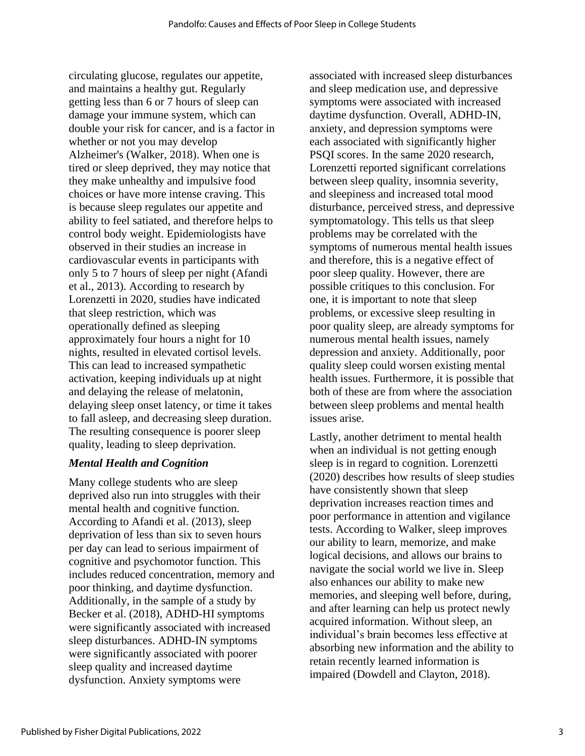circulating glucose, regulates our appetite, and maintains a healthy gut. Regularly getting less than 6 or 7 hours of sleep can damage your immune system, which can double your risk for cancer, and is a factor in whether or not you may develop Alzheimer's (Walker, 2018). When one is tired or sleep deprived, they may notice that they make unhealthy and impulsive food choices or have more intense craving. This is because sleep regulates our appetite and ability to feel satiated, and therefore helps to control body weight. Epidemiologists have observed in their studies an increase in cardiovascular events in participants with only 5 to 7 hours of sleep per night (Afandi et al., 2013). According to research by Lorenzetti in 2020, studies have indicated that sleep restriction, which was operationally defined as sleeping approximately four hours a night for 10 nights, resulted in elevated cortisol levels. This can lead to increased sympathetic activation, keeping individuals up at night and delaying the release of melatonin, delaying sleep onset latency, or time it takes to fall asleep, and decreasing sleep duration. The resulting consequence is poorer sleep quality, leading to sleep deprivation.

## *Mental Health and Cognition*

Many college students who are sleep deprived also run into struggles with their mental health and cognitive function. According to Afandi et al. (2013), sleep deprivation of less than six to seven hours per day can lead to serious impairment of cognitive and psychomotor function. This includes reduced concentration, memory and poor thinking, and daytime dysfunction. Additionally, in the sample of a study by Becker et al. (2018), ADHD-HI symptoms were significantly associated with increased sleep disturbances. ADHD-IN symptoms were significantly associated with poorer sleep quality and increased daytime dysfunction. Anxiety symptoms were

associated with increased sleep disturbances and sleep medication use, and depressive symptoms were associated with increased daytime dysfunction. Overall, ADHD-IN, anxiety, and depression symptoms were each associated with significantly higher PSQI scores. In the same 2020 research, Lorenzetti reported significant correlations between sleep quality, insomnia severity, and sleepiness and increased total mood disturbance, perceived stress, and depressive symptomatology. This tells us that sleep problems may be correlated with the symptoms of numerous mental health issues and therefore, this is a negative effect of poor sleep quality. However, there are possible critiques to this conclusion. For one, it is important to note that sleep problems, or excessive sleep resulting in poor quality sleep, are already symptoms for numerous mental health issues, namely depression and anxiety. Additionally, poor quality sleep could worsen existing mental health issues. Furthermore, it is possible that both of these are from where the association between sleep problems and mental health issues arise.

Lastly, another detriment to mental health when an individual is not getting enough sleep is in regard to cognition. Lorenzetti (2020) describes how results of sleep studies have consistently shown that sleep deprivation increases reaction times and poor performance in attention and vigilance tests. According to Walker, sleep improves our ability to learn, memorize, and make logical decisions, and allows our brains to navigate the social world we live in. Sleep also enhances our ability to make new memories, and sleeping well before, during, and after learning can help us protect newly acquired information. Without sleep, an individual's brain becomes less effective at absorbing new information and the ability to retain recently learned information is impaired (Dowdell and Clayton, 2018).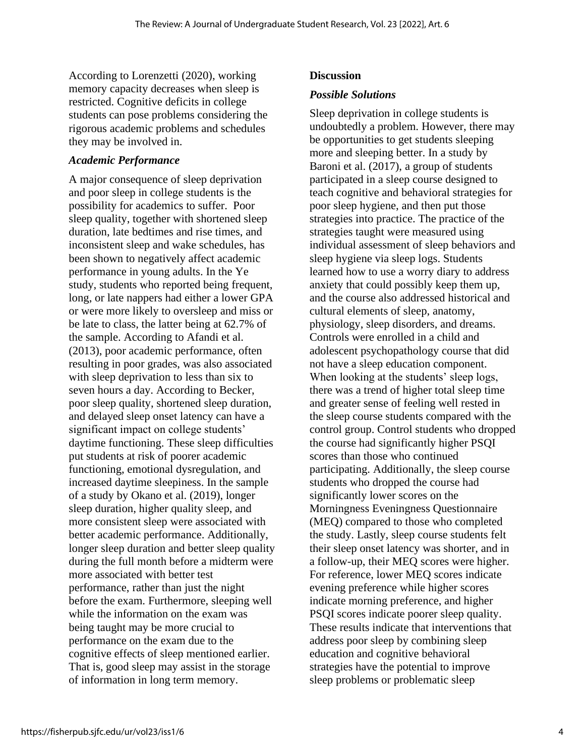According to Lorenzetti (2020), working memory capacity decreases when sleep is restricted. Cognitive deficits in college students can pose problems considering the rigorous academic problems and schedules they may be involved in.

## *Academic Performance*

A major consequence of sleep deprivation and poor sleep in college students is the possibility for academics to suffer. Poor sleep quality, together with shortened sleep duration, late bedtimes and rise times, and inconsistent sleep and wake schedules, has been shown to negatively affect academic performance in young adults. In the Ye study, students who reported being frequent, long, or late nappers had either a lower GPA or were more likely to oversleep and miss or be late to class, the latter being at 62.7% of the sample. According to Afandi et al. (2013), poor academic performance, often resulting in poor grades, was also associated with sleep deprivation to less than six to seven hours a day. According to Becker, poor sleep quality, shortened sleep duration, and delayed sleep onset latency can have a significant impact on college students' daytime functioning. These sleep difficulties put students at risk of poorer academic functioning, emotional dysregulation, and increased daytime sleepiness. In the sample of a study by Okano et al. (2019), longer sleep duration, higher quality sleep, and more consistent sleep were associated with better academic performance. Additionally, longer sleep duration and better sleep quality during the full month before a midterm were more associated with better test performance, rather than just the night before the exam. Furthermore, sleeping well while the information on the exam was being taught may be more crucial to performance on the exam due to the cognitive effects of sleep mentioned earlier. That is, good sleep may assist in the storage of information in long term memory.

## **Discussion**

## *Possible Solutions*

Sleep deprivation in college students is undoubtedly a problem. However, there may be opportunities to get students sleeping more and sleeping better. In a study by Baroni et al. (2017), a group of students participated in a sleep course designed to teach cognitive and behavioral strategies for poor sleep hygiene, and then put those strategies into practice. The practice of the strategies taught were measured using individual assessment of sleep behaviors and sleep hygiene via sleep logs. Students learned how to use a worry diary to address anxiety that could possibly keep them up, and the course also addressed historical and cultural elements of sleep, anatomy, physiology, sleep disorders, and dreams. Controls were enrolled in a child and adolescent psychopathology course that did not have a sleep education component. When looking at the students' sleep logs, there was a trend of higher total sleep time and greater sense of feeling well rested in the sleep course students compared with the control group. Control students who dropped the course had significantly higher PSQI scores than those who continued participating. Additionally, the sleep course students who dropped the course had significantly lower scores on the Morningness Eveningness Questionnaire (MEQ) compared to those who completed the study. Lastly, sleep course students felt their sleep onset latency was shorter, and in a follow-up, their MEQ scores were higher. For reference, lower MEQ scores indicate evening preference while higher scores indicate morning preference, and higher PSQI scores indicate poorer sleep quality. These results indicate that interventions that address poor sleep by combining sleep education and cognitive behavioral strategies have the potential to improve sleep problems or problematic sleep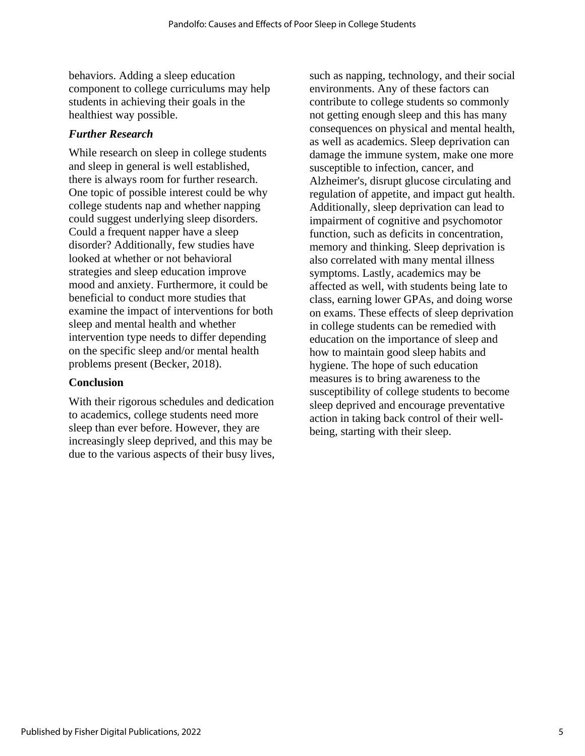behaviors. Adding a sleep education component to college curriculums may help students in achieving their goals in the healthiest way possible.

## *Further Research*

While research on sleep in college students and sleep in general is well established, there is always room for further research. One topic of possible interest could be why college students nap and whether napping could suggest underlying sleep disorders. Could a frequent napper have a sleep disorder? Additionally, few studies have looked at whether or not behavioral strategies and sleep education improve mood and anxiety. Furthermore, it could be beneficial to conduct more studies that examine the impact of interventions for both sleep and mental health and whether intervention type needs to differ depending on the specific sleep and/or mental health problems present (Becker, 2018).

## **Conclusion**

With their rigorous schedules and dedication to academics, college students need more sleep than ever before. However, they are increasingly sleep deprived, and this may be due to the various aspects of their busy lives, such as napping, technology, and their social environments. Any of these factors can contribute to college students so commonly not getting enough sleep and this has many consequences on physical and mental health, as well as academics. Sleep deprivation can damage the immune system, make one more susceptible to infection, cancer, and Alzheimer's, disrupt glucose circulating and regulation of appetite, and impact gut health. Additionally, sleep deprivation can lead to impairment of cognitive and psychomotor function, such as deficits in concentration, memory and thinking. Sleep deprivation is also correlated with many mental illness symptoms. Lastly, academics may be affected as well, with students being late to class, earning lower GPAs, and doing worse on exams. These effects of sleep deprivation in college students can be remedied with education on the importance of sleep and how to maintain good sleep habits and hygiene. The hope of such education measures is to bring awareness to the susceptibility of college students to become sleep deprived and encourage preventative action in taking back control of their wellbeing, starting with their sleep.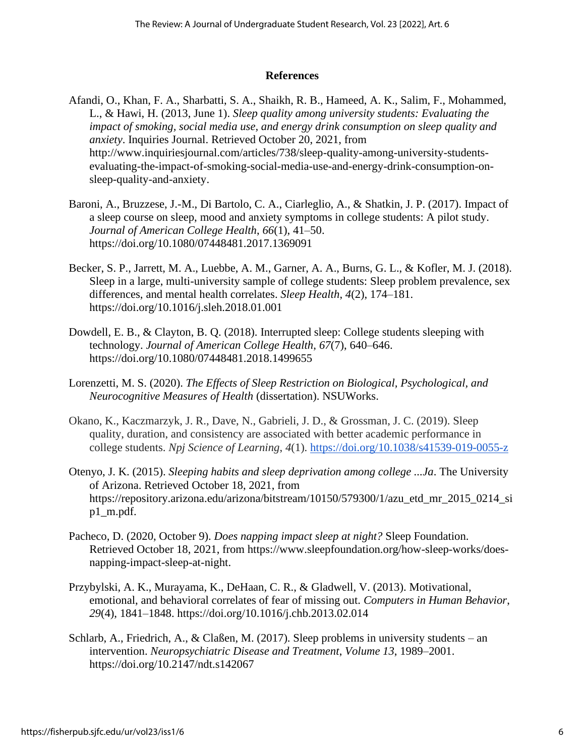#### **References**

- Afandi, O., Khan, F. A., Sharbatti, S. A., Shaikh, R. B., Hameed, A. K., Salim, F., Mohammed, L., & Hawi, H. (2013, June 1). *Sleep quality among university students: Evaluating the impact of smoking, social media use, and energy drink consumption on sleep quality and anxiety*. Inquiries Journal. Retrieved October 20, 2021, from http://www.inquiriesjournal.com/articles/738/sleep-quality-among-university-studentsevaluating-the-impact-of-smoking-social-media-use-and-energy-drink-consumption-onsleep-quality-and-anxiety.
- Baroni, A., Bruzzese, J.-M., Di Bartolo, C. A., Ciarleglio, A., & Shatkin, J. P. (2017). Impact of a sleep course on sleep, mood and anxiety symptoms in college students: A pilot study. *Journal of American College Health*, *66*(1), 41–50. https://doi.org/10.1080/07448481.2017.1369091
- Becker, S. P., Jarrett, M. A., Luebbe, A. M., Garner, A. A., Burns, G. L., & Kofler, M. J. (2018). Sleep in a large, multi-university sample of college students: Sleep problem prevalence, sex differences, and mental health correlates. *Sleep Health*, *4*(2), 174–181. https://doi.org/10.1016/j.sleh.2018.01.001
- Dowdell, E. B., & Clayton, B. Q. (2018). Interrupted sleep: College students sleeping with technology. *Journal of American College Health*, *67*(7), 640–646. https://doi.org/10.1080/07448481.2018.1499655
- Lorenzetti, M. S. (2020). *The Effects of Sleep Restriction on Biological, Psychological, and Neurocognitive Measures of Health* (dissertation). NSUWorks.
- Okano, K., Kaczmarzyk, J. R., Dave, N., Gabrieli, J. D., & Grossman, J. C. (2019). Sleep quality, duration, and consistency are associated with better academic performance in college students. *Npj Science of Learning*, *4*(1). <https://doi.org/10.1038/s41539-019-0055-z>
- Otenyo, J. K. (2015). *Sleeping habits and sleep deprivation among college ...Ja*. The University of Arizona. Retrieved October 18, 2021, from https://repository.arizona.edu/arizona/bitstream/10150/579300/1/azu\_etd\_mr\_2015\_0214\_si p1\_m.pdf.
- Pacheco, D. (2020, October 9). *Does napping impact sleep at night?* Sleep Foundation. Retrieved October 18, 2021, from https://www.sleepfoundation.org/how-sleep-works/doesnapping-impact-sleep-at-night.
- Przybylski, A. K., Murayama, K., DeHaan, C. R., & Gladwell, V. (2013). Motivational, emotional, and behavioral correlates of fear of missing out. *Computers in Human Behavior*, *29*(4), 1841–1848. https://doi.org/10.1016/j.chb.2013.02.014
- Schlarb, A., Friedrich, A., & Claßen, M. (2017). Sleep problems in university students an intervention. *Neuropsychiatric Disease and Treatment*, *Volume 13*, 1989–2001. https://doi.org/10.2147/ndt.s142067